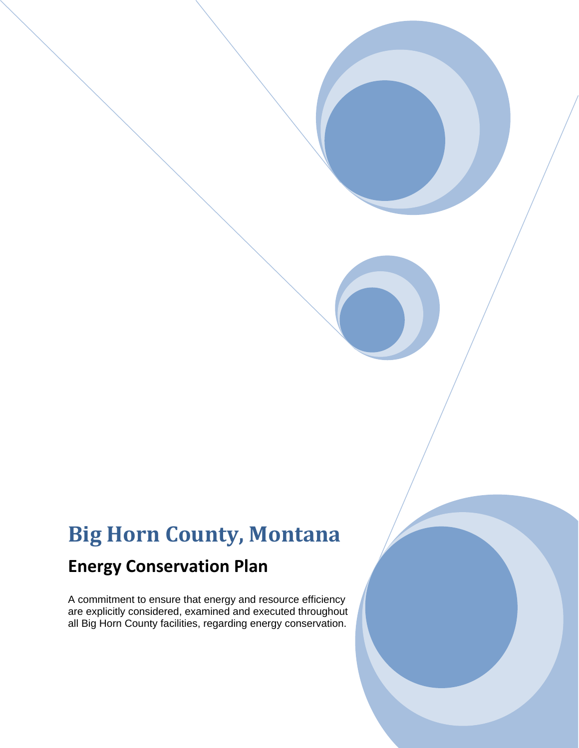# **Big Horn County, Montana**

## **Energy Conservation Plan**

A commitment to ensure that energy and resource efficiency are explicitly considered, examined and executed throughout all Big Horn County facilities, regarding energy conservation.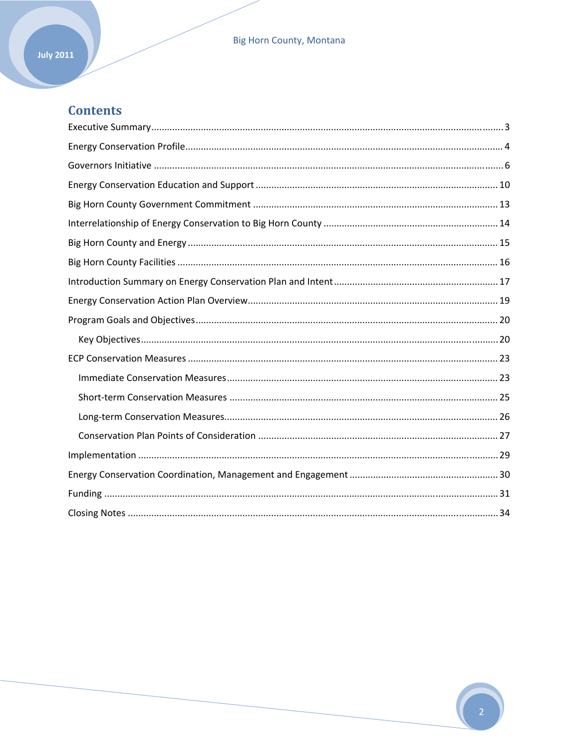#### **Big Horn County, Montana**

## **Contents**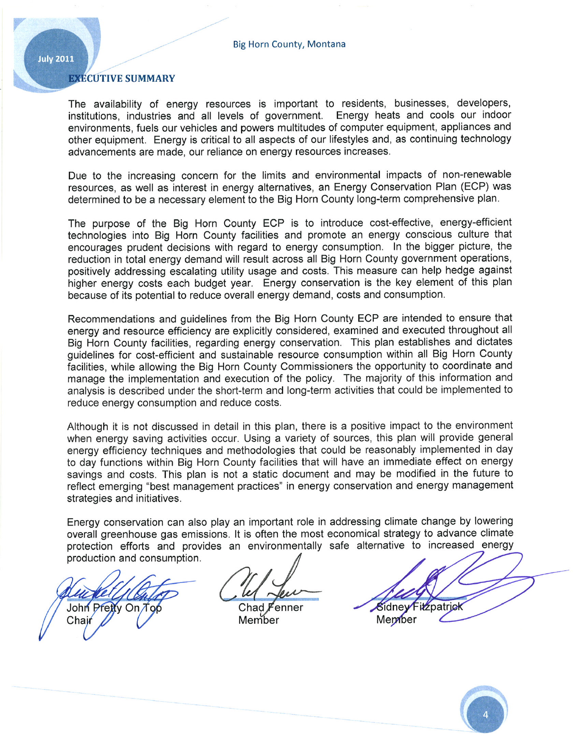#### **EXECUTIVE SUMMARY**

The availability of energy resources is important to residents, businesses, developers, institutions, industries and all levels of government. Energy heats and cools our indoor environments, fuels our vehicles and powers multitudes of computer equipment, appliances and other equipment. Energy is critical to all aspects of our lifestyles and, as continuing technology advancements are made, our reliance on energy resources increases.

Due to the increasing concern for the limits and environmental impacts of non-renewable resources, as well as interest in energy alternatives, an Energy Conservation Plan (ECP) was determined to be a necessary element to the Big Horn County long-term comprehensive plan.

The purpose of the Big Horn County ECP is to introduce cost-effective, energy-efficient technologies into Big Horn County facilities and promote an energy conscious culture that encourages prudent decisions with regard to energy consumption. In the bigger picture, the reduction in total energy demand will result across all Big Horn County government operations, positively addressing escalating utility usage and costs. This measure can help hedge against higher energy costs each budget year. Energy conservation is the key element of this plan because of its potential to reduce overall energy demand, costs and consumption.

Recommendations and guidelines from the Big Horn County ECP are intended to ensure that energy and resource efficiency are explicitly considered, examined and executed throughout all Big Horn County facilities, regarding energy conservation. This plan establishes and dictates quidelines for cost-efficient and sustainable resource consumption within all Big Horn County facilities, while allowing the Big Horn County Commissioners the opportunity to coordinate and manage the implementation and execution of the policy. The majority of this information and analysis is described under the short-term and long-term activities that could be implemented to reduce energy consumption and reduce costs.

Although it is not discussed in detail in this plan, there is a positive impact to the environment when energy saving activities occur. Using a variety of sources, this plan will provide general energy efficiency techniques and methodologies that could be reasonably implemented in day to day functions within Big Horn County facilities that will have an immediate effect on energy savings and costs. This plan is not a static document and may be modified in the future to reflect emerging "best management practices" in energy conservation and energy management strategies and initiatives.

Energy conservation can also play an important role in addressing climate change by lowering overall greenhouse gas emissions. It is often the most economical strategy to advance climate protection efforts and provides an environmentally safe alternative to increased energy production and consumption.

John Pretty On Top Chair

**Sidney Fizzpatrick** Member



 $Chad F$ ∙enner Member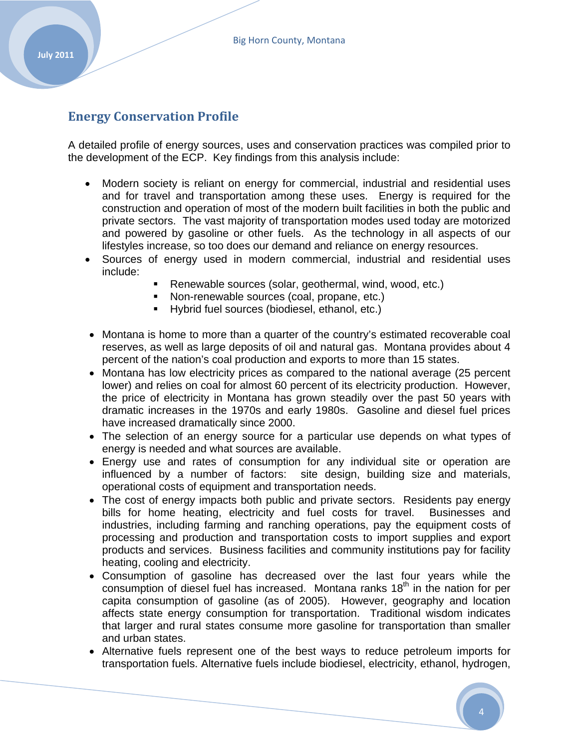### **Energy Conservation Profile**

A detailed profile of energy sources, uses and conservation practices was compiled prior to the development of the ECP. Key findings from this analysis include:

- Modern society is reliant on energy for commercial, industrial and residential uses and for travel and transportation among these uses. Energy is required for the construction and operation of most of the modern built facilities in both the public and private sectors. The vast majority of transportation modes used today are motorized and powered by gasoline or other fuels. As the technology in all aspects of our lifestyles increase, so too does our demand and reliance on energy resources.
- Sources of energy used in modern commercial, industrial and residential uses include:
	- Renewable sources (solar, geothermal, wind, wood, etc.)
	- Non-renewable sources (coal, propane, etc.)
	- Hybrid fuel sources (biodiesel, ethanol, etc.)
- Montana is home to more than a quarter of the country's estimated recoverable coal reserves, as well as large deposits of oil and natural gas. Montana provides about 4 percent of the nation's coal production and exports to more than 15 states.
- Montana has low electricity prices as compared to the national average (25 percent lower) and relies on coal for almost 60 percent of its electricity production. However, the price of electricity in Montana has grown steadily over the past 50 years with dramatic increases in the 1970s and early 1980s. Gasoline and diesel fuel prices have increased dramatically since 2000.
- The selection of an energy source for a particular use depends on what types of energy is needed and what sources are available.
- Energy use and rates of consumption for any individual site or operation are influenced by a number of factors: site design, building size and materials, operational costs of equipment and transportation needs.
- The cost of energy impacts both public and private sectors. Residents pay energy bills for home heating, electricity and fuel costs for travel. Businesses and industries, including farming and ranching operations, pay the equipment costs of processing and production and transportation costs to import supplies and export products and services. Business facilities and community institutions pay for facility heating, cooling and electricity.
- Consumption of gasoline has decreased over the last four years while the consumption of diesel fuel has increased. Montana ranks  $18<sup>th</sup>$  in the nation for per capita consumption of gasoline (as of 2005). However, geography and location affects state energy consumption for transportation. Traditional wisdom indicates that larger and rural states consume more gasoline for transportation than smaller and urban states.
- Alternative fuels represent one of the best ways to reduce petroleum imports for transportation fuels. Alternative fuels include biodiesel, electricity, ethanol, hydrogen,